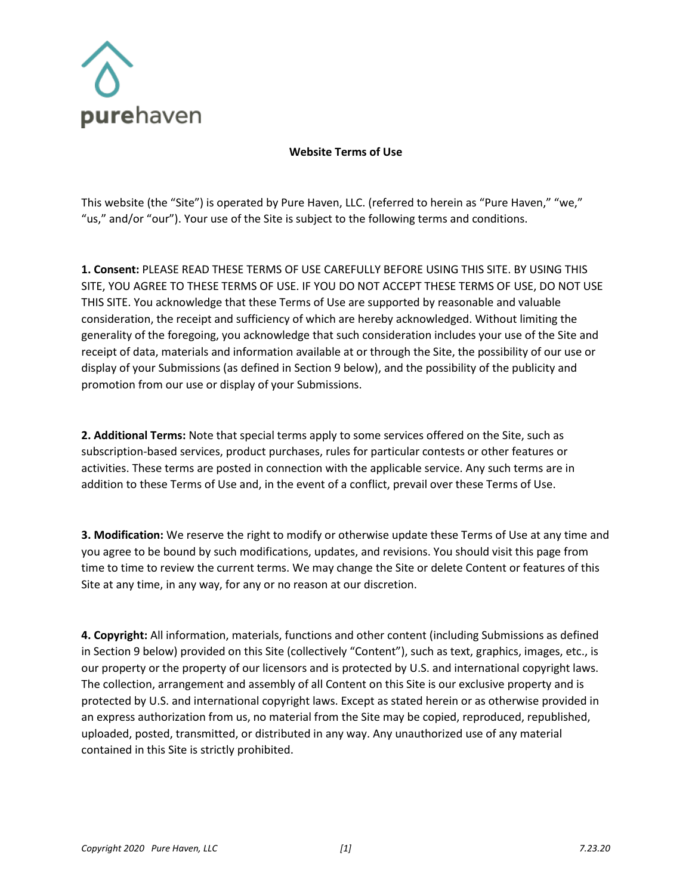

## **Website Terms of Use**

This website (the "Site") is operated by Pure Haven, LLC. (referred to herein as "Pure Haven," "we," "us," and/or "our"). Your use of the Site is subject to the following terms and conditions.

**1. Consent:** PLEASE READ THESE TERMS OF USE CAREFULLY BEFORE USING THIS SITE. BY USING THIS SITE, YOU AGREE TO THESE TERMS OF USE. IF YOU DO NOT ACCEPT THESE TERMS OF USE, DO NOT USE THIS SITE. You acknowledge that these Terms of Use are supported by reasonable and valuable consideration, the receipt and sufficiency of which are hereby acknowledged. Without limiting the generality of the foregoing, you acknowledge that such consideration includes your use of the Site and receipt of data, materials and information available at or through the Site, the possibility of our use or display of your Submissions (as defined in Section 9 below), and the possibility of the publicity and promotion from our use or display of your Submissions.

**2. Additional Terms:** Note that special terms apply to some services offered on the Site, such as subscription-based services, product purchases, rules for particular contests or other features or activities. These terms are posted in connection with the applicable service. Any such terms are in addition to these Terms of Use and, in the event of a conflict, prevail over these Terms of Use.

**3. Modification:** We reserve the right to modify or otherwise update these Terms of Use at any time and you agree to be bound by such modifications, updates, and revisions. You should visit this page from time to time to review the current terms. We may change the Site or delete Content or features of this Site at any time, in any way, for any or no reason at our discretion.

**4. Copyright:** All information, materials, functions and other content (including Submissions as defined in Section 9 below) provided on this Site (collectively "Content"), such as text, graphics, images, etc., is our property or the property of our licensors and is protected by U.S. and international copyright laws. The collection, arrangement and assembly of all Content on this Site is our exclusive property and is protected by U.S. and international copyright laws. Except as stated herein or as otherwise provided in an express authorization from us, no material from the Site may be copied, reproduced, republished, uploaded, posted, transmitted, or distributed in any way. Any unauthorized use of any material contained in this Site is strictly prohibited.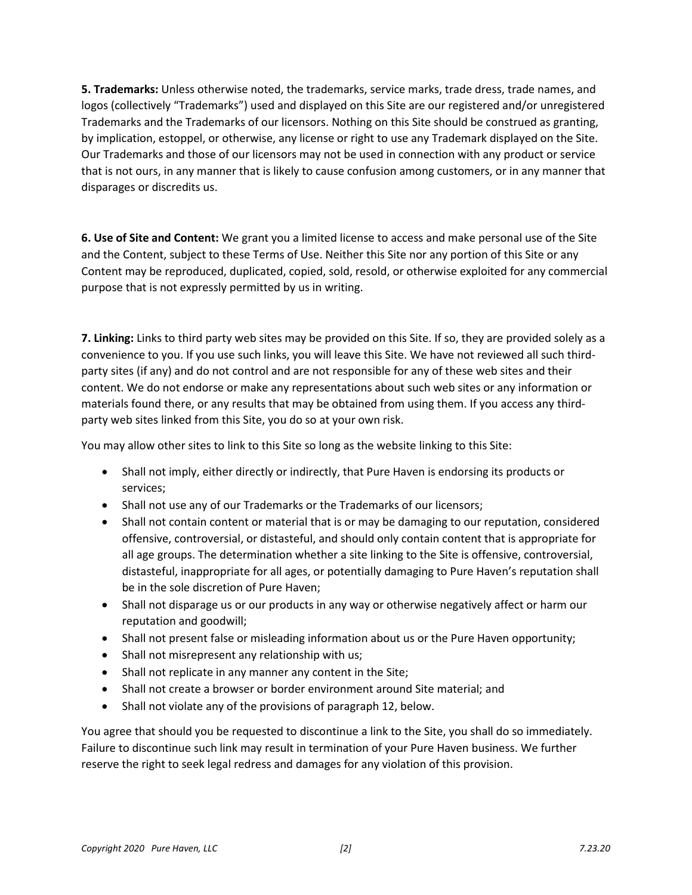**5. Trademarks:** Unless otherwise noted, the trademarks, service marks, trade dress, trade names, and logos (collectively "Trademarks") used and displayed on this Site are our registered and/or unregistered Trademarks and the Trademarks of our licensors. Nothing on this Site should be construed as granting, by implication, estoppel, or otherwise, any license or right to use any Trademark displayed on the Site. Our Trademarks and those of our licensors may not be used in connection with any product or service that is not ours, in any manner that is likely to cause confusion among customers, or in any manner that disparages or discredits us.

**6. Use of Site and Content:** We grant you a limited license to access and make personal use of the Site and the Content, subject to these Terms of Use. Neither this Site nor any portion of this Site or any Content may be reproduced, duplicated, copied, sold, resold, or otherwise exploited for any commercial purpose that is not expressly permitted by us in writing.

**7. Linking:** Links to third party web sites may be provided on this Site. If so, they are provided solely as a convenience to you. If you use such links, you will leave this Site. We have not reviewed all such thirdparty sites (if any) and do not control and are not responsible for any of these web sites and their content. We do not endorse or make any representations about such web sites or any information or materials found there, or any results that may be obtained from using them. If you access any thirdparty web sites linked from this Site, you do so at your own risk.

You may allow other sites to link to this Site so long as the website linking to this Site:

- Shall not imply, either directly or indirectly, that Pure Haven is endorsing its products or services;
- Shall not use any of our Trademarks or the Trademarks of our licensors;
- Shall not contain content or material that is or may be damaging to our reputation, considered offensive, controversial, or distasteful, and should only contain content that is appropriate for all age groups. The determination whether a site linking to the Site is offensive, controversial, distasteful, inappropriate for all ages, or potentially damaging to Pure Haven's reputation shall be in the sole discretion of Pure Haven;
- Shall not disparage us or our products in any way or otherwise negatively affect or harm our reputation and goodwill;
- Shall not present false or misleading information about us or the Pure Haven opportunity;
- Shall not misrepresent any relationship with us;
- Shall not replicate in any manner any content in the Site;
- Shall not create a browser or border environment around Site material; and
- Shall not violate any of the provisions of paragraph 12, below.

You agree that should you be requested to discontinue a link to the Site, you shall do so immediately. Failure to discontinue such link may result in termination of your Pure Haven business. We further reserve the right to seek legal redress and damages for any violation of this provision.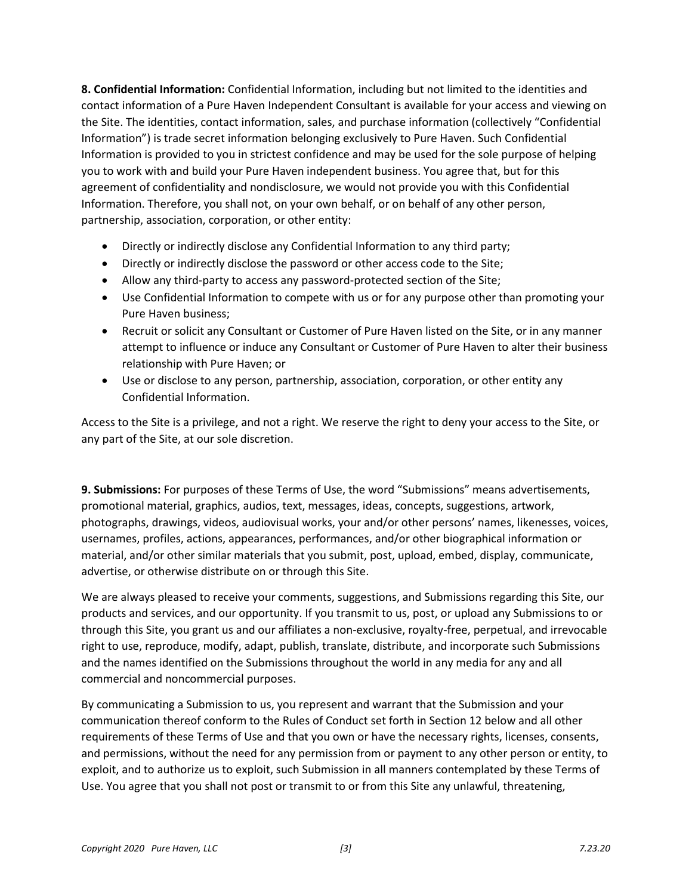**8. Confidential Information:** Confidential Information, including but not limited to the identities and contact information of a Pure Haven Independent Consultant is available for your access and viewing on the Site. The identities, contact information, sales, and purchase information (collectively "Confidential Information") is trade secret information belonging exclusively to Pure Haven. Such Confidential Information is provided to you in strictest confidence and may be used for the sole purpose of helping you to work with and build your Pure Haven independent business. You agree that, but for this agreement of confidentiality and nondisclosure, we would not provide you with this Confidential Information. Therefore, you shall not, on your own behalf, or on behalf of any other person, partnership, association, corporation, or other entity:

- Directly or indirectly disclose any Confidential Information to any third party;
- Directly or indirectly disclose the password or other access code to the Site;
- Allow any third-party to access any password-protected section of the Site;
- Use Confidential Information to compete with us or for any purpose other than promoting your Pure Haven business;
- Recruit or solicit any Consultant or Customer of Pure Haven listed on the Site, or in any manner attempt to influence or induce any Consultant or Customer of Pure Haven to alter their business relationship with Pure Haven; or
- Use or disclose to any person, partnership, association, corporation, or other entity any Confidential Information.

Access to the Site is a privilege, and not a right. We reserve the right to deny your access to the Site, or any part of the Site, at our sole discretion.

**9. Submissions:** For purposes of these Terms of Use, the word "Submissions" means advertisements, promotional material, graphics, audios, text, messages, ideas, concepts, suggestions, artwork, photographs, drawings, videos, audiovisual works, your and/or other persons' names, likenesses, voices, usernames, profiles, actions, appearances, performances, and/or other biographical information or material, and/or other similar materials that you submit, post, upload, embed, display, communicate, advertise, or otherwise distribute on or through this Site.

We are always pleased to receive your comments, suggestions, and Submissions regarding this Site, our products and services, and our opportunity. If you transmit to us, post, or upload any Submissions to or through this Site, you grant us and our affiliates a non-exclusive, royalty-free, perpetual, and irrevocable right to use, reproduce, modify, adapt, publish, translate, distribute, and incorporate such Submissions and the names identified on the Submissions throughout the world in any media for any and all commercial and noncommercial purposes.

By communicating a Submission to us, you represent and warrant that the Submission and your communication thereof conform to the Rules of Conduct set forth in Section 12 below and all other requirements of these Terms of Use and that you own or have the necessary rights, licenses, consents, and permissions, without the need for any permission from or payment to any other person or entity, to exploit, and to authorize us to exploit, such Submission in all manners contemplated by these Terms of Use. You agree that you shall not post or transmit to or from this Site any unlawful, threatening,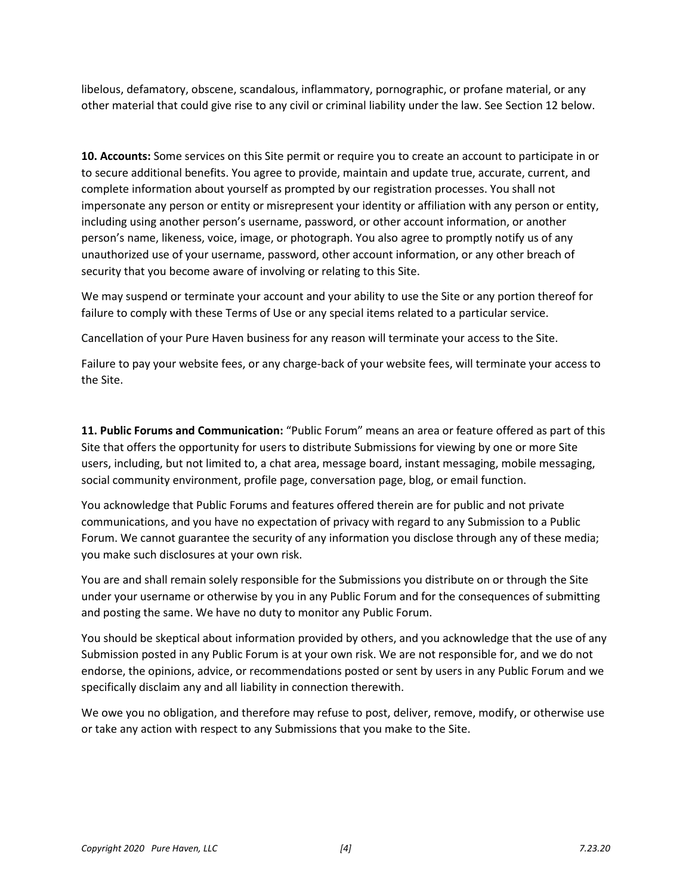libelous, defamatory, obscene, scandalous, inflammatory, pornographic, or profane material, or any other material that could give rise to any civil or criminal liability under the law. See Section 12 below.

**10. Accounts:** Some services on this Site permit or require you to create an account to participate in or to secure additional benefits. You agree to provide, maintain and update true, accurate, current, and complete information about yourself as prompted by our registration processes. You shall not impersonate any person or entity or misrepresent your identity or affiliation with any person or entity, including using another person's username, password, or other account information, or another person's name, likeness, voice, image, or photograph. You also agree to promptly notify us of any unauthorized use of your username, password, other account information, or any other breach of security that you become aware of involving or relating to this Site.

We may suspend or terminate your account and your ability to use the Site or any portion thereof for failure to comply with these Terms of Use or any special items related to a particular service.

Cancellation of your Pure Haven business for any reason will terminate your access to the Site.

Failure to pay your website fees, or any charge-back of your website fees, will terminate your access to the Site.

**11. Public Forums and Communication:** "Public Forum" means an area or feature offered as part of this Site that offers the opportunity for users to distribute Submissions for viewing by one or more Site users, including, but not limited to, a chat area, message board, instant messaging, mobile messaging, social community environment, profile page, conversation page, blog, or email function.

You acknowledge that Public Forums and features offered therein are for public and not private communications, and you have no expectation of privacy with regard to any Submission to a Public Forum. We cannot guarantee the security of any information you disclose through any of these media; you make such disclosures at your own risk.

You are and shall remain solely responsible for the Submissions you distribute on or through the Site under your username or otherwise by you in any Public Forum and for the consequences of submitting and posting the same. We have no duty to monitor any Public Forum.

You should be skeptical about information provided by others, and you acknowledge that the use of any Submission posted in any Public Forum is at your own risk. We are not responsible for, and we do not endorse, the opinions, advice, or recommendations posted or sent by users in any Public Forum and we specifically disclaim any and all liability in connection therewith.

We owe you no obligation, and therefore may refuse to post, deliver, remove, modify, or otherwise use or take any action with respect to any Submissions that you make to the Site.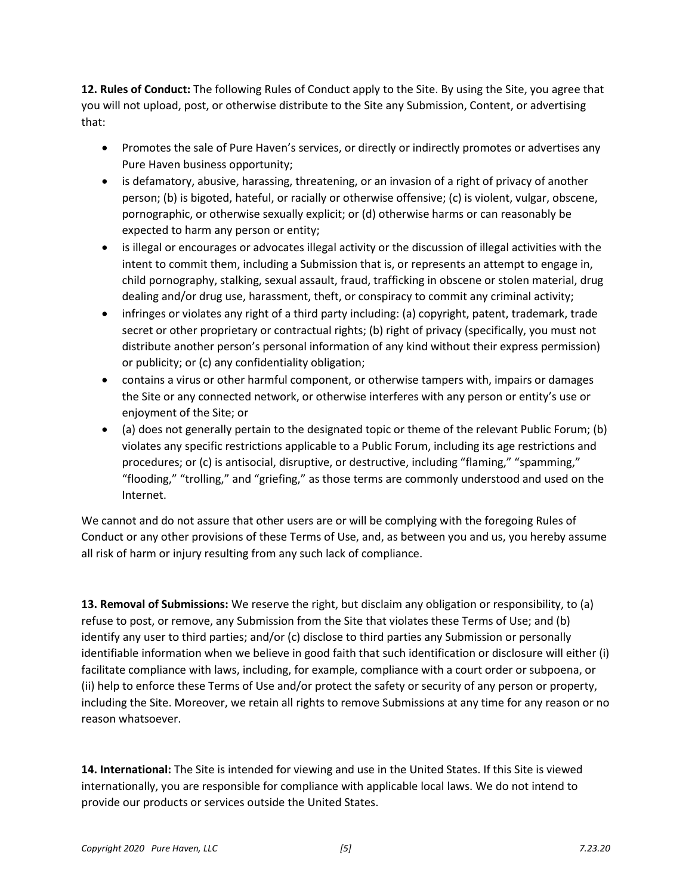**12. Rules of Conduct:** The following Rules of Conduct apply to the Site. By using the Site, you agree that you will not upload, post, or otherwise distribute to the Site any Submission, Content, or advertising that:

- Promotes the sale of Pure Haven's services, or directly or indirectly promotes or advertises any Pure Haven business opportunity;
- is defamatory, abusive, harassing, threatening, or an invasion of a right of privacy of another person; (b) is bigoted, hateful, or racially or otherwise offensive; (c) is violent, vulgar, obscene, pornographic, or otherwise sexually explicit; or (d) otherwise harms or can reasonably be expected to harm any person or entity;
- is illegal or encourages or advocates illegal activity or the discussion of illegal activities with the intent to commit them, including a Submission that is, or represents an attempt to engage in, child pornography, stalking, sexual assault, fraud, trafficking in obscene or stolen material, drug dealing and/or drug use, harassment, theft, or conspiracy to commit any criminal activity;
- infringes or violates any right of a third party including: (a) copyright, patent, trademark, trade secret or other proprietary or contractual rights; (b) right of privacy (specifically, you must not distribute another person's personal information of any kind without their express permission) or publicity; or (c) any confidentiality obligation;
- contains a virus or other harmful component, or otherwise tampers with, impairs or damages the Site or any connected network, or otherwise interferes with any person or entity's use or enjoyment of the Site; or
- (a) does not generally pertain to the designated topic or theme of the relevant Public Forum; (b) violates any specific restrictions applicable to a Public Forum, including its age restrictions and procedures; or (c) is antisocial, disruptive, or destructive, including "flaming," "spamming," "flooding," "trolling," and "griefing," as those terms are commonly understood and used on the Internet.

We cannot and do not assure that other users are or will be complying with the foregoing Rules of Conduct or any other provisions of these Terms of Use, and, as between you and us, you hereby assume all risk of harm or injury resulting from any such lack of compliance.

**13. Removal of Submissions:** We reserve the right, but disclaim any obligation or responsibility, to (a) refuse to post, or remove, any Submission from the Site that violates these Terms of Use; and (b) identify any user to third parties; and/or (c) disclose to third parties any Submission or personally identifiable information when we believe in good faith that such identification or disclosure will either (i) facilitate compliance with laws, including, for example, compliance with a court order or subpoena, or (ii) help to enforce these Terms of Use and/or protect the safety or security of any person or property, including the Site. Moreover, we retain all rights to remove Submissions at any time for any reason or no reason whatsoever.

**14. International:** The Site is intended for viewing and use in the United States. If this Site is viewed internationally, you are responsible for compliance with applicable local laws. We do not intend to provide our products or services outside the United States.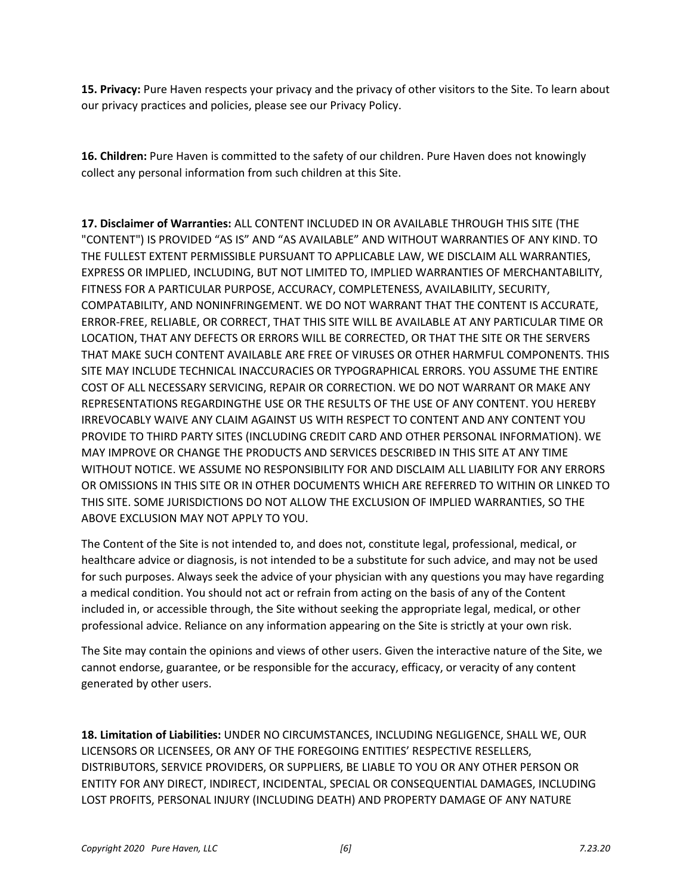**15. Privacy:** Pure Haven respects your privacy and the privacy of other visitors to the Site. To learn about our privacy practices and policies, please see our Privacy Policy.

**16. Children:** Pure Haven is committed to the safety of our children. Pure Haven does not knowingly collect any personal information from such children at this Site.

**17. Disclaimer of Warranties:** ALL CONTENT INCLUDED IN OR AVAILABLE THROUGH THIS SITE (THE "CONTENT") IS PROVIDED "AS IS" AND "AS AVAILABLE" AND WITHOUT WARRANTIES OF ANY KIND. TO THE FULLEST EXTENT PERMISSIBLE PURSUANT TO APPLICABLE LAW, WE DISCLAIM ALL WARRANTIES, EXPRESS OR IMPLIED, INCLUDING, BUT NOT LIMITED TO, IMPLIED WARRANTIES OF MERCHANTABILITY, FITNESS FOR A PARTICULAR PURPOSE, ACCURACY, COMPLETENESS, AVAILABILITY, SECURITY, COMPATABILITY, AND NONINFRINGEMENT. WE DO NOT WARRANT THAT THE CONTENT IS ACCURATE, ERROR-FREE, RELIABLE, OR CORRECT, THAT THIS SITE WILL BE AVAILABLE AT ANY PARTICULAR TIME OR LOCATION, THAT ANY DEFECTS OR ERRORS WILL BE CORRECTED, OR THAT THE SITE OR THE SERVERS THAT MAKE SUCH CONTENT AVAILABLE ARE FREE OF VIRUSES OR OTHER HARMFUL COMPONENTS. THIS SITE MAY INCLUDE TECHNICAL INACCURACIES OR TYPOGRAPHICAL ERRORS. YOU ASSUME THE ENTIRE COST OF ALL NECESSARY SERVICING, REPAIR OR CORRECTION. WE DO NOT WARRANT OR MAKE ANY REPRESENTATIONS REGARDINGTHE USE OR THE RESULTS OF THE USE OF ANY CONTENT. YOU HEREBY IRREVOCABLY WAIVE ANY CLAIM AGAINST US WITH RESPECT TO CONTENT AND ANY CONTENT YOU PROVIDE TO THIRD PARTY SITES (INCLUDING CREDIT CARD AND OTHER PERSONAL INFORMATION). WE MAY IMPROVE OR CHANGE THE PRODUCTS AND SERVICES DESCRIBED IN THIS SITE AT ANY TIME WITHOUT NOTICE. WE ASSUME NO RESPONSIBILITY FOR AND DISCLAIM ALL LIABILITY FOR ANY FRRORS. OR OMISSIONS IN THIS SITE OR IN OTHER DOCUMENTS WHICH ARE REFERRED TO WITHIN OR LINKED TO THIS SITE. SOME JURISDICTIONS DO NOT ALLOW THE EXCLUSION OF IMPLIED WARRANTIES, SO THE ABOVE EXCLUSION MAY NOT APPLY TO YOU.

The Content of the Site is not intended to, and does not, constitute legal, professional, medical, or healthcare advice or diagnosis, is not intended to be a substitute for such advice, and may not be used for such purposes. Always seek the advice of your physician with any questions you may have regarding a medical condition. You should not act or refrain from acting on the basis of any of the Content included in, or accessible through, the Site without seeking the appropriate legal, medical, or other professional advice. Reliance on any information appearing on the Site is strictly at your own risk.

The Site may contain the opinions and views of other users. Given the interactive nature of the Site, we cannot endorse, guarantee, or be responsible for the accuracy, efficacy, or veracity of any content generated by other users.

**18. Limitation of Liabilities:** UNDER NO CIRCUMSTANCES, INCLUDING NEGLIGENCE, SHALL WE, OUR LICENSORS OR LICENSEES, OR ANY OF THE FOREGOING ENTITIES' RESPECTIVE RESELLERS, DISTRIBUTORS, SERVICE PROVIDERS, OR SUPPLIERS, BE LIABLE TO YOU OR ANY OTHER PERSON OR ENTITY FOR ANY DIRECT, INDIRECT, INCIDENTAL, SPECIAL OR CONSEQUENTIAL DAMAGES, INCLUDING LOST PROFITS, PERSONAL INJURY (INCLUDING DEATH) AND PROPERTY DAMAGE OF ANY NATURE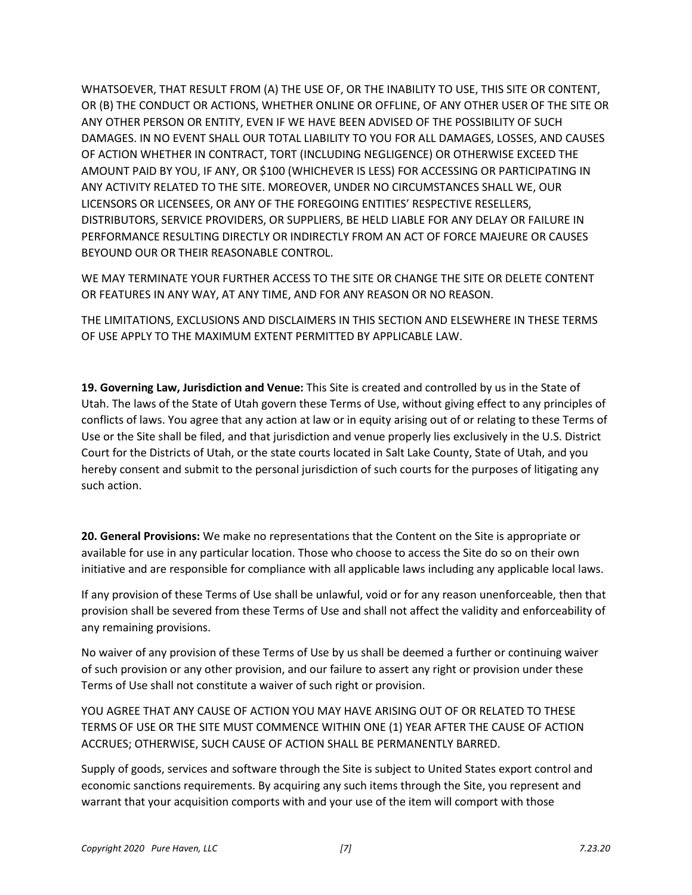WHATSOEVER, THAT RESULT FROM (A) THE USE OF, OR THE INABILITY TO USE, THIS SITE OR CONTENT, OR (B) THE CONDUCT OR ACTIONS, WHETHER ONLINE OR OFFLINE, OF ANY OTHER USER OF THE SITE OR ANY OTHER PERSON OR ENTITY, EVEN IF WE HAVE BEEN ADVISED OF THE POSSIBILITY OF SUCH DAMAGES. IN NO EVENT SHALL OUR TOTAL LIABILITY TO YOU FOR ALL DAMAGES, LOSSES, AND CAUSES OF ACTION WHETHER IN CONTRACT, TORT (INCLUDING NEGLIGENCE) OR OTHERWISE EXCEED THE AMOUNT PAID BY YOU, IF ANY, OR \$100 (WHICHEVER IS LESS) FOR ACCESSING OR PARTICIPATING IN ANY ACTIVITY RELATED TO THE SITE. MOREOVER, UNDER NO CIRCUMSTANCES SHALL WE, OUR LICENSORS OR LICENSEES, OR ANY OF THE FOREGOING ENTITIES' RESPECTIVE RESELLERS, DISTRIBUTORS, SERVICE PROVIDERS, OR SUPPLIERS, BE HELD LIABLE FOR ANY DELAY OR FAILURE IN PERFORMANCE RESULTING DIRECTLY OR INDIRECTLY FROM AN ACT OF FORCE MAJEURE OR CAUSES BEYOUND OUR OR THEIR REASONABLE CONTROL.

WE MAY TERMINATE YOUR FURTHER ACCESS TO THE SITE OR CHANGE THE SITE OR DELETE CONTENT OR FEATURES IN ANY WAY, AT ANY TIME, AND FOR ANY REASON OR NO REASON.

THE LIMITATIONS, EXCLUSIONS AND DISCLAIMERS IN THIS SECTION AND ELSEWHERE IN THESE TERMS OF USE APPLY TO THE MAXIMUM EXTENT PERMITTED BY APPLICABLE LAW.

**19. Governing Law, Jurisdiction and Venue:** This Site is created and controlled by us in the State of Utah. The laws of the State of Utah govern these Terms of Use, without giving effect to any principles of conflicts of laws. You agree that any action at law or in equity arising out of or relating to these Terms of Use or the Site shall be filed, and that jurisdiction and venue properly lies exclusively in the U.S. District Court for the Districts of Utah, or the state courts located in Salt Lake County, State of Utah, and you hereby consent and submit to the personal jurisdiction of such courts for the purposes of litigating any such action.

**20. General Provisions:** We make no representations that the Content on the Site is appropriate or available for use in any particular location. Those who choose to access the Site do so on their own initiative and are responsible for compliance with all applicable laws including any applicable local laws.

If any provision of these Terms of Use shall be unlawful, void or for any reason unenforceable, then that provision shall be severed from these Terms of Use and shall not affect the validity and enforceability of any remaining provisions.

No waiver of any provision of these Terms of Use by us shall be deemed a further or continuing waiver of such provision or any other provision, and our failure to assert any right or provision under these Terms of Use shall not constitute a waiver of such right or provision.

YOU AGREE THAT ANY CAUSE OF ACTION YOU MAY HAVE ARISING OUT OF OR RELATED TO THESE TERMS OF USE OR THE SITE MUST COMMENCE WITHIN ONE (1) YEAR AFTER THE CAUSE OF ACTION ACCRUES; OTHERWISE, SUCH CAUSE OF ACTION SHALL BE PERMANENTLY BARRED.

Supply of goods, services and software through the Site is subject to United States export control and economic sanctions requirements. By acquiring any such items through the Site, you represent and warrant that your acquisition comports with and your use of the item will comport with those